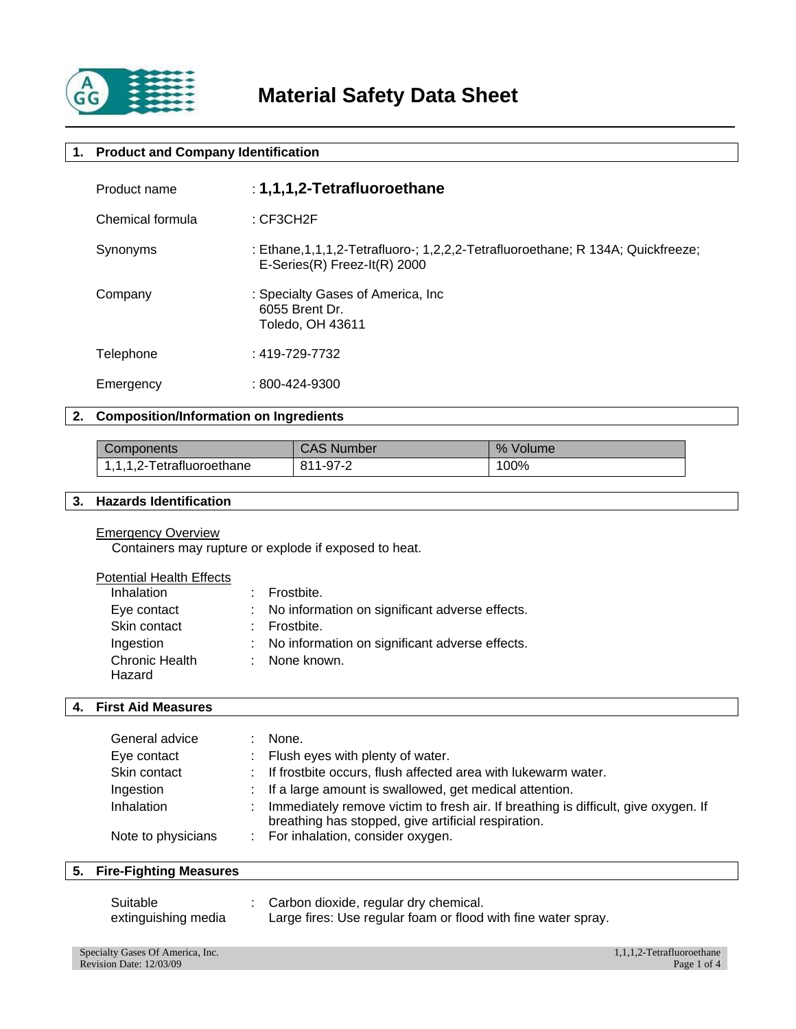

# **1. Product and Company Identification**

| Product name     | : 1,1,1,2-Tetrafluoroethane                                                                                           |
|------------------|-----------------------------------------------------------------------------------------------------------------------|
| Chemical formula | $:$ CF3CH2F                                                                                                           |
| Synonyms         | : Ethane, 1, 1, 1, 2-Tetrafluoro-; 1, 2, 2, 2-Tetrafluoroethane; R 134A; Quickfreeze;<br>E-Series(R) Freez-It(R) 2000 |
| Company          | : Specialty Gases of America, Inc<br>6055 Brent Dr.<br>Toledo, OH 43611                                               |
| Telephone        | $: 419 - 729 - 7732$                                                                                                  |
| Emergency        | $: 800 - 424 - 9300$                                                                                                  |

# **2. Composition/Information on Ingredients**

| Components                | CAS Number | $\%$<br>Volume |
|---------------------------|------------|----------------|
| 1,1,1,2-Tetrafluoroethane | 811-97-2   | 100%           |

# **3. Hazards Identification**

### Emergency Overview

Containers may rupture or explode if exposed to heat.

|--|

| <b>Inhalation</b>     | : Frostbite.                                     |
|-----------------------|--------------------------------------------------|
| Eye contact           | : No information on significant adverse effects. |
| Skin contact          | : Frostbite.                                     |
| Ingestion             | : No information on significant adverse effects. |
| <b>Chronic Health</b> | : None known.                                    |
| Hazard                |                                                  |

# **4. First Aid Measures**

| General advice     | None.                                                                                                                                     |
|--------------------|-------------------------------------------------------------------------------------------------------------------------------------------|
| Eye contact        | : Flush eyes with plenty of water.                                                                                                        |
| Skin contact       | : If frostbite occurs, flush affected area with lukewarm water.                                                                           |
| Ingestion          | : If a large amount is swallowed, get medical attention.                                                                                  |
| Inhalation         | Immediately remove victim to fresh air. If breathing is difficult, give oxygen. If<br>breathing has stopped, give artificial respiration. |
| Note to physicians | : For inhalation, consider oxygen.                                                                                                        |

# **5. Fire-Fighting Measures**

| Suitable            | : Carbon dioxide, regular dry chemical.                       |
|---------------------|---------------------------------------------------------------|
| extinguishing media | Large fires: Use regular foam or flood with fine water spray. |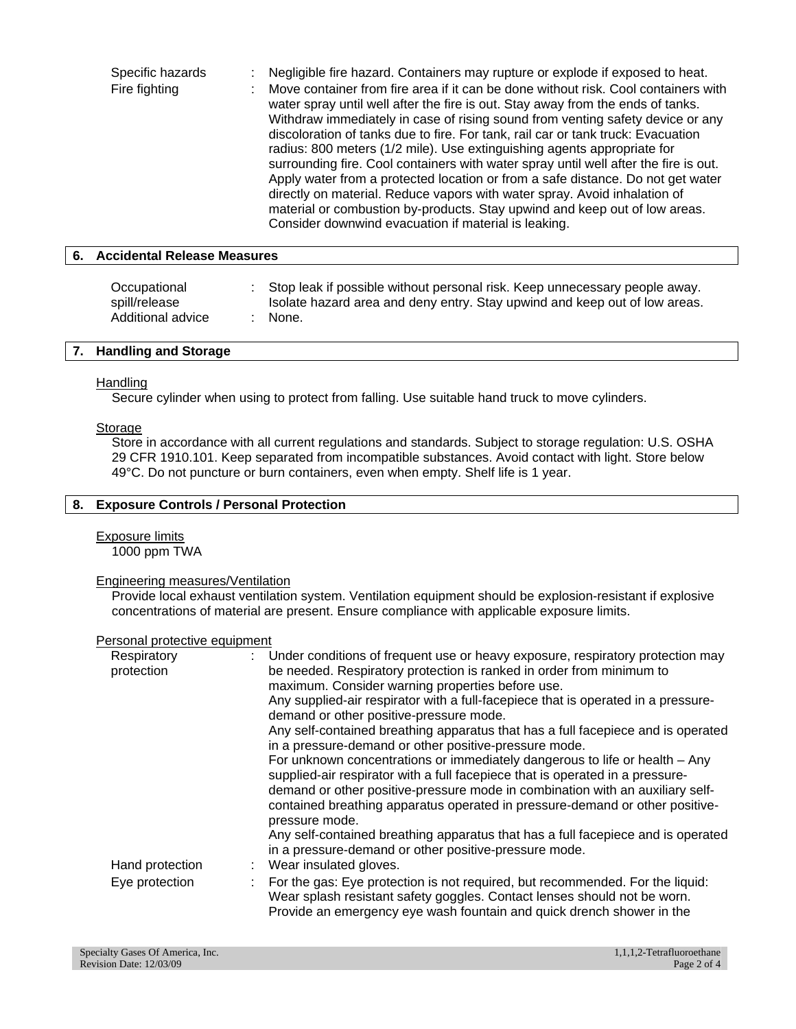| Specific hazards | Negligible fire hazard. Containers may rupture or explode if exposed to heat.                                                                                                                                                                                                                                                                                                                                                                                                                                                                                                                                                                                                                                                                                                                                        |
|------------------|----------------------------------------------------------------------------------------------------------------------------------------------------------------------------------------------------------------------------------------------------------------------------------------------------------------------------------------------------------------------------------------------------------------------------------------------------------------------------------------------------------------------------------------------------------------------------------------------------------------------------------------------------------------------------------------------------------------------------------------------------------------------------------------------------------------------|
| Fire fighting    | Move container from fire area if it can be done without risk. Cool containers with<br>water spray until well after the fire is out. Stay away from the ends of tanks.<br>Withdraw immediately in case of rising sound from venting safety device or any<br>discoloration of tanks due to fire. For tank, rail car or tank truck: Evacuation<br>radius: 800 meters (1/2 mile). Use extinguishing agents appropriate for<br>surrounding fire. Cool containers with water spray until well after the fire is out.<br>Apply water from a protected location or from a safe distance. Do not get water<br>directly on material. Reduce vapors with water spray. Avoid inhalation of<br>material or combustion by-products. Stay upwind and keep out of low areas.<br>Consider downwind evacuation if material is leaking. |

# **6. Accidental Release Measures**

| Occupational      | Stop leak if possible without personal risk. Keep unnecessary people away. |
|-------------------|----------------------------------------------------------------------------|
| spill/release     | Isolate hazard area and deny entry. Stay upwind and keep out of low areas. |
| Additional advice | : None.                                                                    |

### **7. Handling and Storage**

#### Handling

Secure cylinder when using to protect from falling. Use suitable hand truck to move cylinders.

#### **Storage**

Store in accordance with all current regulations and standards. Subject to storage regulation: U.S. OSHA 29 CFR 1910.101. Keep separated from incompatible substances. Avoid contact with light. Store below 49°C. Do not puncture or burn containers, even when empty. Shelf life is 1 year.

### **8. Exposure Controls / Personal Protection**

Exposure limits 1000 ppm TWA

#### Engineering measures/Ventilation

Provide local exhaust ventilation system. Ventilation equipment should be explosion-resistant if explosive concentrations of material are present. Ensure compliance with applicable exposure limits.

#### Personal protective equipment

| Respiratory<br>protection | : Under conditions of frequent use or heavy exposure, respiratory protection may<br>be needed. Respiratory protection is ranked in order from minimum to<br>maximum. Consider warning properties before use.                                                                                                                                    |
|---------------------------|-------------------------------------------------------------------------------------------------------------------------------------------------------------------------------------------------------------------------------------------------------------------------------------------------------------------------------------------------|
|                           | Any supplied-air respirator with a full-facepiece that is operated in a pressure-<br>demand or other positive-pressure mode.                                                                                                                                                                                                                    |
|                           | Any self-contained breathing apparatus that has a full facepiece and is operated<br>in a pressure-demand or other positive-pressure mode.                                                                                                                                                                                                       |
|                           | For unknown concentrations or immediately dangerous to life or health – Any<br>supplied-air respirator with a full facepiece that is operated in a pressure-<br>demand or other positive-pressure mode in combination with an auxiliary self-<br>contained breathing apparatus operated in pressure-demand or other positive-<br>pressure mode. |
| Hand protection           | Any self-contained breathing apparatus that has a full facepiece and is operated<br>in a pressure-demand or other positive-pressure mode.<br>Wear insulated gloves.                                                                                                                                                                             |
| Eye protection            | For the gas: Eye protection is not required, but recommended. For the liquid:<br>Wear splash resistant safety goggles. Contact lenses should not be worn.<br>Provide an emergency eye wash fountain and quick drench shower in the                                                                                                              |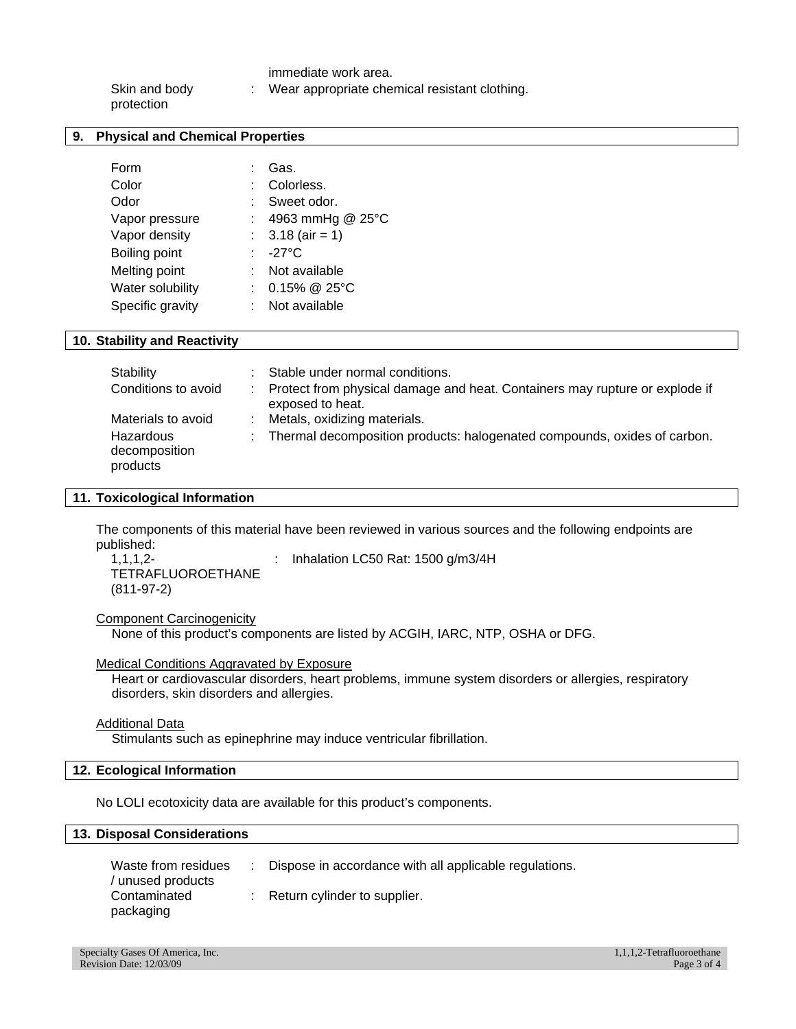immediate work area.

| Skin and body | Wear appropriate chemical resistant clothing. |
|---------------|-----------------------------------------------|
| protection    |                                               |

### **9. Physical and Chemical Properties**

| Form             | Gas.               |
|------------------|--------------------|
| Color            | Colorless.         |
| Odor             | Sweet odor.        |
| Vapor pressure   | 4963 mmHg @ 25°C   |
| Vapor density    | : $3.18$ (air = 1) |
| Boiling point    | -27°C              |
| Melting point    | Not available      |
| Water solubility | $0.15\%$ @ 25°C    |
| Specific gravity | Not available      |

# **10. Stability and Reactivity**

| Stability<br>Conditions to avoid       | Stable under normal conditions.<br>: Protect from physical damage and heat. Containers may rupture or explode if |
|----------------------------------------|------------------------------------------------------------------------------------------------------------------|
|                                        | exposed to heat.                                                                                                 |
| Materials to avoid                     | : Metals, oxidizing materials.                                                                                   |
| Hazardous<br>decomposition<br>products | : Thermal decomposition products: halogenated compounds, oxides of carbon.                                       |

#### **11. Toxicological Information**

The components of this material have been reviewed in various sources and the following endpoints are published:

1,1,1,2- TETRAFLUOROETHANE (811-97-2)

: Inhalation LC50 Rat: 1500 g/m3/4H

#### Component Carcinogenicity

None of this product's components are listed by ACGIH, IARC, NTP, OSHA or DFG.

Medical Conditions Aggravated by Exposure

Heart or cardiovascular disorders, heart problems, immune system disorders or allergies, respiratory disorders, skin disorders and allergies.

#### Additional Data

Stimulants such as epinephrine may induce ventricular fibrillation.

### **12. Ecological Information**

No LOLI ecotoxicity data are available for this product's components.

### **13. Disposal Considerations**

| Waste from residues<br>unused products | : Dispose in accordance with all applicable regulations. |
|----------------------------------------|----------------------------------------------------------|
| Contaminated<br>packaging              | $\therefore$ Return cylinder to supplier.                |